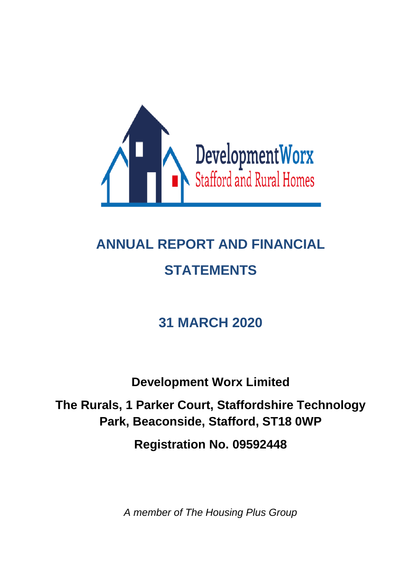

# **ANNUAL REPORT AND FINANCIAL STATEMENTS**

## **31 MARCH 2020**

**Development Worx Limited**

**The Rurals, 1 Parker Court, Staffordshire Technology Park, Beaconside, Stafford, ST18 0WP**

**Registration No. 09592448**

*A member of The Housing Plus Group*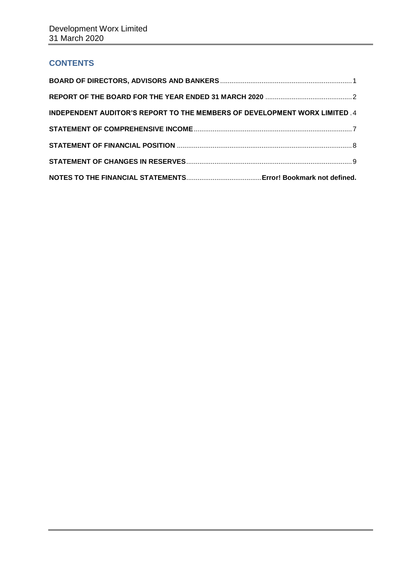## **CONTENTS**

| INDEPENDENT AUDITOR'S REPORT TO THE MEMBERS OF DEVELOPMENT WORX LIMITED .4 |  |
|----------------------------------------------------------------------------|--|
|                                                                            |  |
|                                                                            |  |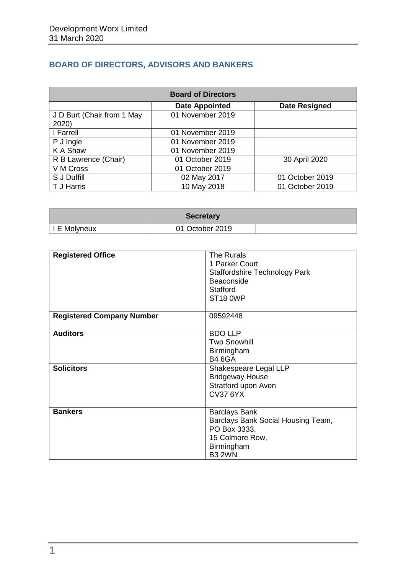## <span id="page-2-0"></span>**BOARD OF DIRECTORS, ADVISORS AND BANKERS**

| <b>Board of Directors</b>           |                       |                      |  |
|-------------------------------------|-----------------------|----------------------|--|
|                                     | <b>Date Appointed</b> | <b>Date Resigned</b> |  |
| J D Burt (Chair from 1 May<br>2020) | 01 November 2019      |                      |  |
| I Farrell                           | 01 November 2019      |                      |  |
| P J Ingle                           | 01 November 2019      |                      |  |
| K A Shaw                            | 01 November 2019      |                      |  |
| R B Lawrence (Chair)                | 01 October 2019       | 30 April 2020        |  |
| V M Cross                           | 01 October 2019       |                      |  |
| S J Duffill                         | 02 May 2017           | 01 October 2019      |  |
| T J Harris                          | 10 May 2018           | 01 October 2019      |  |

| <b>Secretary</b> |                 |  |
|------------------|-----------------|--|
| I E Molyneux     | 01 October 2019 |  |

| <b>Registered Office</b>         | The Rurals<br>1 Parker Court<br><b>Staffordshire Technology Park</b><br>Beaconside<br><b>Stafford</b><br>ST <sub>18</sub> OWP |
|----------------------------------|-------------------------------------------------------------------------------------------------------------------------------|
| <b>Registered Company Number</b> | 09592448                                                                                                                      |
| <b>Auditors</b>                  | <b>BDO LLP</b><br><b>Two Snowhill</b><br>Birmingham<br><b>B4 6GA</b>                                                          |
| <b>Solicitors</b>                | Shakespeare Legal LLP<br><b>Bridgeway House</b><br>Stratford upon Avon<br><b>CV37 6YX</b>                                     |
| <b>Bankers</b>                   | <b>Barclays Bank</b><br>Barclays Bank Social Housing Team,<br>PO Box 3333,<br>15 Colmore Row,<br>Birmingham<br><b>B3 2WN</b>  |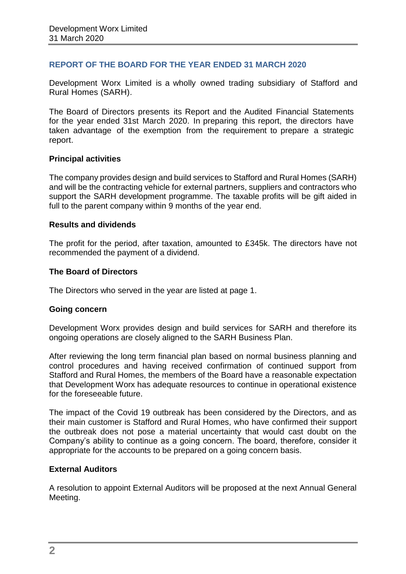## <span id="page-3-0"></span>**REPORT OF THE BOARD FOR THE YEAR ENDED 31 MARCH 2020**

Development Worx Limited is a wholly owned trading subsidiary of Stafford and Rural Homes (SARH).

The Board of Directors presents its Report and the Audited Financial Statements for the year ended 31st March 2020. In preparing this report, the directors have taken advantage of the exemption from the requirement to prepare a strategic report.

## **Principal activities**

The company provides design and build services to Stafford and Rural Homes (SARH) and will be the contracting vehicle for external partners, suppliers and contractors who support the SARH development programme. The taxable profits will be gift aided in full to the parent company within 9 months of the year end.

## **Results and dividends**

The profit for the period, after taxation, amounted to £345k. The directors have not recommended the payment of a dividend.

## **The Board of Directors**

The Directors who served in the year are listed at page 1.

## **Going concern**

Development Worx provides design and build services for SARH and therefore its ongoing operations are closely aligned to the SARH Business Plan.

After reviewing the long term financial plan based on normal business planning and control procedures and having received confirmation of continued support from Stafford and Rural Homes, the members of the Board have a reasonable expectation that Development Worx has adequate resources to continue in operational existence for the foreseeable future.

The impact of the Covid 19 outbreak has been considered by the Directors, and as their main customer is Stafford and Rural Homes, who have confirmed their support the outbreak does not pose a material uncertainty that would cast doubt on the Company's ability to continue as a going concern. The board, therefore, consider it appropriate for the accounts to be prepared on a going concern basis.

## **External Auditors**

A resolution to appoint External Auditors will be proposed at the next Annual General Meeting.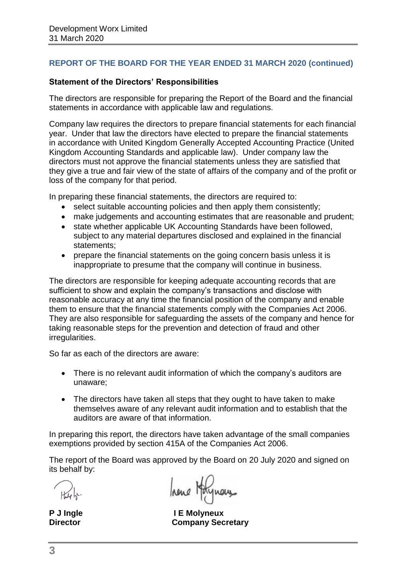## **REPORT OF THE BOARD FOR THE YEAR ENDED 31 MARCH 2020 (continued)**

## **Statement of the Directors' Responsibilities**

The directors are responsible for preparing the Report of the Board and the financial statements in accordance with applicable law and regulations.

Company law requires the directors to prepare financial statements for each financial year. Under that law the directors have elected to prepare the financial statements in accordance with United Kingdom Generally Accepted Accounting Practice (United Kingdom Accounting Standards and applicable law). Under company law the directors must not approve the financial statements unless they are satisfied that they give a true and fair view of the state of affairs of the company and of the profit or loss of the company for that period.

In preparing these financial statements, the directors are required to:

- select suitable accounting policies and then apply them consistently;
- make judgements and accounting estimates that are reasonable and prudent;
- state whether applicable UK Accounting Standards have been followed, subject to any material departures disclosed and explained in the financial statements;
- prepare the financial statements on the going concern basis unless it is inappropriate to presume that the company will continue in business.

The directors are responsible for keeping adequate accounting records that are sufficient to show and explain the company's transactions and disclose with reasonable accuracy at any time the financial position of the company and enable them to ensure that the financial statements comply with the Companies Act 2006. They are also responsible for safeguarding the assets of the company and hence for taking reasonable steps for the prevention and detection of fraud and other irregularities.

So far as each of the directors are aware:

- There is no relevant audit information of which the company's auditors are unaware;
- The directors have taken all steps that they ought to have taken to make themselves aware of any relevant audit information and to establish that the auditors are aware of that information.

In preparing this report, the directors have taken advantage of the small companies exemptions provided by section 415A of the Companies Act 2006.

The report of the Board was approved by the Board on 20 July 2020 and signed on its behalf by:

hene Holynon

P J Ingle **I E Molyneux Director Company Secretary**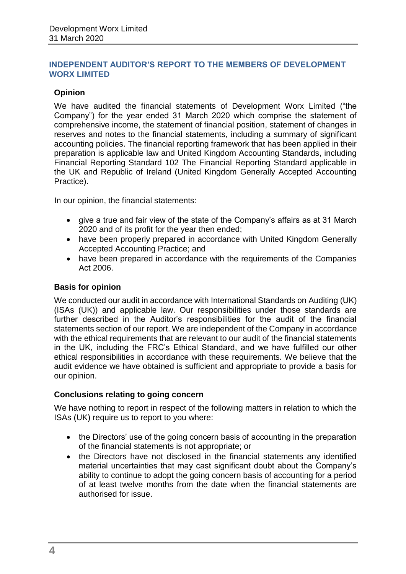## <span id="page-5-0"></span>**INDEPENDENT AUDITOR'S REPORT TO THE MEMBERS OF DEVELOPMENT WORX LIMITED**

## **Opinion**

We have audited the financial statements of Development Worx Limited ("the Company") for the year ended 31 March 2020 which comprise the statement of comprehensive income, the statement of financial position, statement of changes in reserves and notes to the financial statements, including a summary of significant accounting policies. The financial reporting framework that has been applied in their preparation is applicable law and United Kingdom Accounting Standards, including Financial Reporting Standard 102 The Financial Reporting Standard applicable in the UK and Republic of Ireland (United Kingdom Generally Accepted Accounting Practice).

In our opinion, the financial statements:

- give a true and fair view of the state of the Company's affairs as at 31 March 2020 and of its profit for the year then ended;
- have been properly prepared in accordance with United Kingdom Generally Accepted Accounting Practice; and
- have been prepared in accordance with the requirements of the Companies Act 2006.

## **Basis for opinion**

We conducted our audit in accordance with International Standards on Auditing (UK) (ISAs (UK)) and applicable law. Our responsibilities under those standards are further described in the Auditor's responsibilities for the audit of the financial statements section of our report. We are independent of the Company in accordance with the ethical requirements that are relevant to our audit of the financial statements in the UK, including the FRC's Ethical Standard, and we have fulfilled our other ethical responsibilities in accordance with these requirements. We believe that the audit evidence we have obtained is sufficient and appropriate to provide a basis for our opinion.

## **Conclusions relating to going concern**

We have nothing to report in respect of the following matters in relation to which the ISAs (UK) require us to report to you where:

- the Directors' use of the going concern basis of accounting in the preparation of the financial statements is not appropriate; or
- the Directors have not disclosed in the financial statements any identified material uncertainties that may cast significant doubt about the Company's ability to continue to adopt the going concern basis of accounting for a period of at least twelve months from the date when the financial statements are authorised for issue.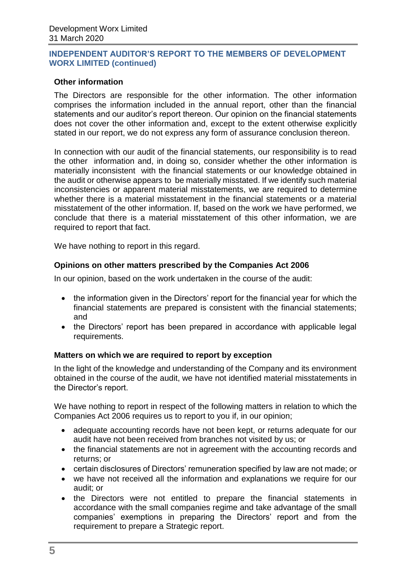## **INDEPENDENT AUDITOR'S REPORT TO THE MEMBERS OF DEVELOPMENT WORX LIMITED (continued)**

## **Other information**

The Directors are responsible for the other information. The other information comprises the information included in the annual report, other than the financial statements and our auditor's report thereon. Our opinion on the financial statements does not cover the other information and, except to the extent otherwise explicitly stated in our report, we do not express any form of assurance conclusion thereon.

In connection with our audit of the financial statements, our responsibility is to read the other information and, in doing so, consider whether the other information is materially inconsistent with the financial statements or our knowledge obtained in the audit or otherwise appears to be materially misstated. If we identify such material inconsistencies or apparent material misstatements, we are required to determine whether there is a material misstatement in the financial statements or a material misstatement of the other information. If, based on the work we have performed, we conclude that there is a material misstatement of this other information, we are required to report that fact.

We have nothing to report in this regard.

## **Opinions on other matters prescribed by the Companies Act 2006**

In our opinion, based on the work undertaken in the course of the audit:

- the information given in the Directors' report for the financial year for which the financial statements are prepared is consistent with the financial statements; and
- the Directors' report has been prepared in accordance with applicable legal requirements.

## **Matters on which we are required to report by exception**

In the light of the knowledge and understanding of the Company and its environment obtained in the course of the audit, we have not identified material misstatements in the Director's report.

We have nothing to report in respect of the following matters in relation to which the Companies Act 2006 requires us to report to you if, in our opinion;

- adequate accounting records have not been kept, or returns adequate for our audit have not been received from branches not visited by us; or
- the financial statements are not in agreement with the accounting records and returns; or
- certain disclosures of Directors' remuneration specified by law are not made; or
- we have not received all the information and explanations we require for our audit; or
- the Directors were not entitled to prepare the financial statements in accordance with the small companies regime and take advantage of the small companies' exemptions in preparing the Directors' report and from the requirement to prepare a Strategic report.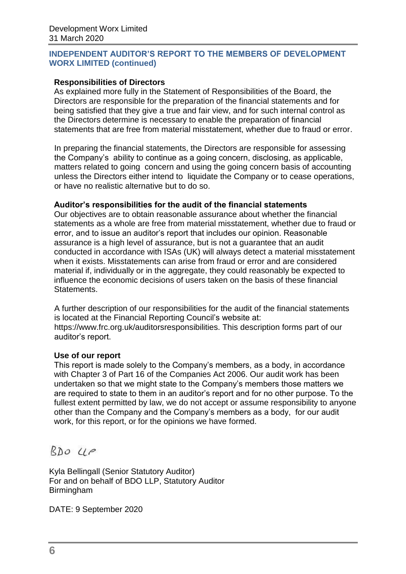## **INDEPENDENT AUDITOR'S REPORT TO THE MEMBERS OF DEVELOPMENT WORX LIMITED (continued)**

## **Responsibilities of Directors**

As explained more fully in the Statement of Responsibilities of the Board, the Directors are responsible for the preparation of the financial statements and for being satisfied that they give a true and fair view, and for such internal control as the Directors determine is necessary to enable the preparation of financial statements that are free from material misstatement, whether due to fraud or error.

In preparing the financial statements, the Directors are responsible for assessing the Company's ability to continue as a going concern, disclosing, as applicable, matters related to going concern and using the going concern basis of accounting unless the Directors either intend to liquidate the Company or to cease operations, or have no realistic alternative but to do so.

## **Auditor's responsibilities for the audit of the financial statements**

Our objectives are to obtain reasonable assurance about whether the financial statements as a whole are free from material misstatement, whether due to fraud or error, and to issue an auditor's report that includes our opinion. Reasonable assurance is a high level of assurance, but is not a guarantee that an audit conducted in accordance with ISAs (UK) will always detect a material misstatement when it exists. Misstatements can arise from fraud or error and are considered material if, individually or in the aggregate, they could reasonably be expected to influence the economic decisions of users taken on the basis of these financial Statements.

A further description of our responsibilities for the audit of the financial statements is located at the Financial Reporting Council's website at: https://www.frc.org.uk/auditorsresponsibilities. This description forms part of our auditor's report.

## **Use of our report**

This report is made solely to the Company's members, as a body, in accordance with Chapter 3 of Part 16 of the Companies Act 2006. Our audit work has been undertaken so that we might state to the Company's members those matters we are required to state to them in an auditor's report and for no other purpose. To the fullest extent permitted by law, we do not accept or assume responsibility to anyone other than the Company and the Company's members as a body, for our audit work, for this report, or for the opinions we have formed.

 $RDOUP$ 

Kyla Bellingall (Senior Statutory Auditor) For and on behalf of BDO LLP, Statutory Auditor Birmingham

DATE: 9 September 2020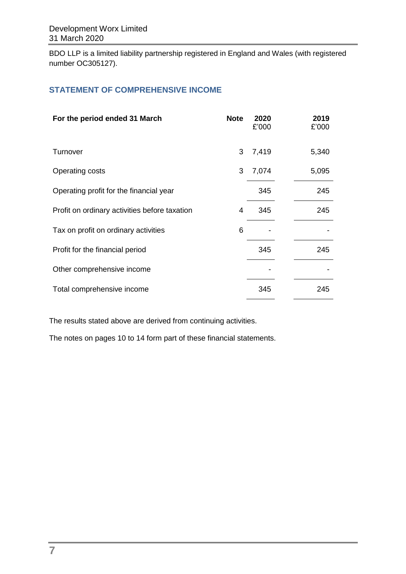BDO LLP is a limited liability partnership registered in England and Wales (with registered number OC305127).

## **STATEMENT OF COMPREHENSIVE INCOME**

| For the period ended 31 March                 | <b>Note</b> | 2020<br>£'000 | 2019<br>£'000 |
|-----------------------------------------------|-------------|---------------|---------------|
| Turnover                                      | 3           | 7,419         | 5,340         |
| Operating costs                               | 3           | 7,074         | 5,095         |
| Operating profit for the financial year       |             | 345           | 245           |
| Profit on ordinary activities before taxation | 4           | 345           | 245           |
| Tax on profit on ordinary activities          | 6           |               |               |
| Profit for the financial period               |             | 345           | 245           |
| Other comprehensive income                    |             |               |               |
| Total comprehensive income                    |             | 345           | 245           |

The results stated above are derived from continuing activities.

The notes on pages 10 to 14 form part of these financial statements.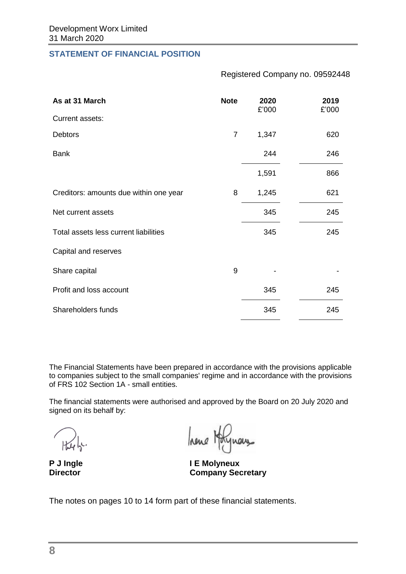## **STATEMENT OF FINANCIAL POSITION**

Registered Company no. 09592448

| As at 31 March                         | <b>Note</b>    | 2020<br>£'000 | 2019<br>£'000 |
|----------------------------------------|----------------|---------------|---------------|
| Current assets:                        |                |               |               |
| <b>Debtors</b>                         | $\overline{7}$ | 1,347         | 620           |
| <b>Bank</b>                            |                | 244           | 246           |
|                                        |                | 1,591         | 866           |
| Creditors: amounts due within one year | 8              | 1,245         | 621           |
| Net current assets                     |                | 345           | 245           |
| Total assets less current liabilities  |                | 345           | 245           |
| Capital and reserves                   |                |               |               |
| Share capital                          | 9              |               |               |
| Profit and loss account                |                | 345           | 245           |
| Shareholders funds                     |                | 345           | 245           |

The Financial Statements have been prepared in accordance with the provisions applicable to companies subject to the small companies' regime and in accordance with the provisions of FRS 102 Section 1A - small entities.

The financial statements were authorised and approved by the Board on 20 July 2020 and signed on its behalf by:

hene Hoty

**P J Ingle I E Molyneux Company Secretary** 

The notes on pages 10 to 14 form part of these financial statements.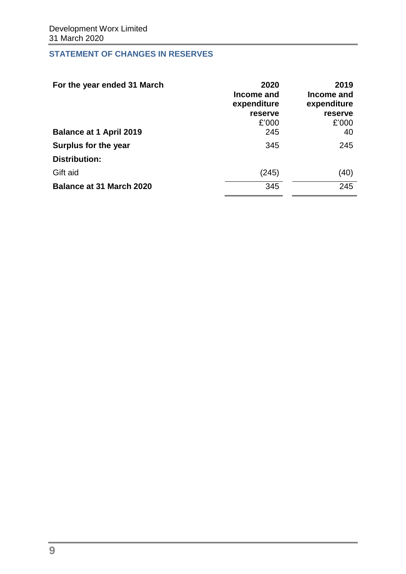## **STATEMENT OF CHANGES IN RESERVES**

| For the year ended 31 March     | 2020<br>Income and<br>expenditure<br>reserve<br>£'000 | 2019<br>Income and<br>expenditure<br>reserve<br>£'000 |
|---------------------------------|-------------------------------------------------------|-------------------------------------------------------|
| <b>Balance at 1 April 2019</b>  | 245                                                   | 40                                                    |
| Surplus for the year            | 345                                                   | 245                                                   |
| Distribution:                   |                                                       |                                                       |
| Gift aid                        | (245)                                                 | (40)                                                  |
| <b>Balance at 31 March 2020</b> | 345                                                   | 245                                                   |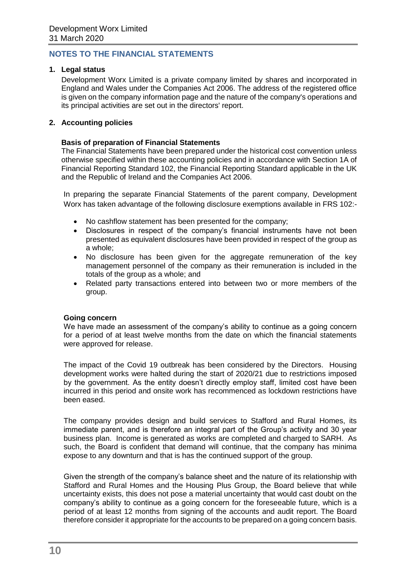## **NOTES TO THE FINANCIAL STATEMENTS**

#### **1. Legal status**

Development Worx Limited is a private company limited by shares and incorporated in England and Wales under the Companies Act 2006. The address of the registered office is given on the company information page and the nature of the company's operations and its principal activities are set out in the directors' report.

#### **2. Accounting policies**

#### **Basis of preparation of Financial Statements**

The Financial Statements have been prepared under the historical cost convention unless otherwise specified within these accounting policies and in accordance with Section 1A of Financial Reporting Standard 102, the Financial Reporting Standard applicable in the UK and the Republic of Ireland and the Companies Act 2006.

In preparing the separate Financial Statements of the parent company, Development Worx has taken advantage of the following disclosure exemptions available in FRS 102:-

- No cashflow statement has been presented for the company;
- Disclosures in respect of the company's financial instruments have not been presented as equivalent disclosures have been provided in respect of the group as a whole;
- No disclosure has been given for the aggregate remuneration of the key management personnel of the company as their remuneration is included in the totals of the group as a whole; and
- Related party transactions entered into between two or more members of the group.

#### **Going concern**

We have made an assessment of the company's ability to continue as a going concern for a period of at least twelve months from the date on which the financial statements were approved for release.

The impact of the Covid 19 outbreak has been considered by the Directors. Housing development works were halted during the start of 2020/21 due to restrictions imposed by the government. As the entity doesn't directly employ staff, limited cost have been incurred in this period and onsite work has recommenced as lockdown restrictions have been eased.

The company provides design and build services to Stafford and Rural Homes, its immediate parent, and is therefore an integral part of the Group's activity and 30 year business plan. Income is generated as works are completed and charged to SARH. As such, the Board is confident that demand will continue, that the company has minima expose to any downturn and that is has the continued support of the group.

Given the strength of the company's balance sheet and the nature of its relationship with Stafford and Rural Homes and the Housing Plus Group, the Board believe that while uncertainty exists, this does not pose a material uncertainty that would cast doubt on the company's ability to continue as a going concern for the foreseeable future, which is a period of at least 12 months from signing of the accounts and audit report. The Board therefore consider it appropriate for the accounts to be prepared on a going concern basis.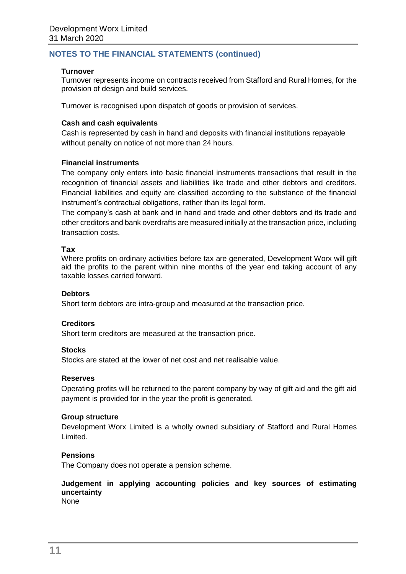## **Turnover**

Turnover represents income on contracts received from Stafford and Rural Homes, for the provision of design and build services.

Turnover is recognised upon dispatch of goods or provision of services.

#### **Cash and cash equivalents**

Cash is represented by cash in hand and deposits with financial institutions repayable without penalty on notice of not more than 24 hours.

## **Financial instruments**

The company only enters into basic financial instruments transactions that result in the recognition of financial assets and liabilities like trade and other debtors and creditors. Financial liabilities and equity are classified according to the substance of the financial instrument's contractual obligations, rather than its legal form.

The company's cash at bank and in hand and trade and other debtors and its trade and other creditors and bank overdrafts are measured initially at the transaction price, including transaction costs.

## **Tax**

Where profits on ordinary activities before tax are generated, Development Worx will gift aid the profits to the parent within nine months of the year end taking account of any taxable losses carried forward.

#### **Debtors**

Short term debtors are intra-group and measured at the transaction price.

#### **Creditors**

Short term creditors are measured at the transaction price.

#### **Stocks**

Stocks are stated at the lower of net cost and net realisable value.

#### **Reserves**

Operating profits will be returned to the parent company by way of gift aid and the gift aid payment is provided for in the year the profit is generated.

#### **Group structure**

Development Worx Limited is a wholly owned subsidiary of Stafford and Rural Homes Limited.

#### **Pensions**

The Company does not operate a pension scheme.

## **Judgement in applying accounting policies and key sources of estimating uncertainty**

None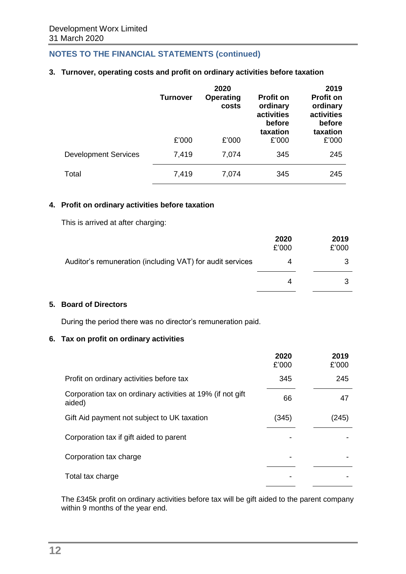## **3. Turnover, operating costs and profit on ordinary activities before taxation**

|                             | <b>Turnover</b> | 2020<br><b>Operating</b><br>costs | <b>Profit on</b><br>ordinary<br>activities<br>before<br>taxation | 2019<br><b>Profit on</b><br>ordinary<br>activities<br>before<br>taxation |
|-----------------------------|-----------------|-----------------------------------|------------------------------------------------------------------|--------------------------------------------------------------------------|
|                             | £'000           | £'000                             | £'000                                                            | £'000                                                                    |
| <b>Development Services</b> | 7,419           | 7,074                             | 345                                                              | 245                                                                      |
| Total                       | 7,419           | 7,074                             | 345                                                              | 245                                                                      |

## **4. Profit on ordinary activities before taxation**

This is arrived at after charging:

|                                                           | 2020<br>£'000 | 2019<br>£'000 |
|-----------------------------------------------------------|---------------|---------------|
| Auditor's remuneration (including VAT) for audit services | 4             |               |
|                                                           | 4             |               |

## **5. Board of Directors**

During the period there was no director's remuneration paid.

#### **6. Tax on profit on ordinary activities**

|                                                                      | 2020<br>£'000 | 2019<br>£'000 |
|----------------------------------------------------------------------|---------------|---------------|
| Profit on ordinary activities before tax                             | 345           | 245           |
| Corporation tax on ordinary activities at 19% (if not gift<br>aided) | 66            | 47            |
| Gift Aid payment not subject to UK taxation                          | (345)         | (245)         |
| Corporation tax if gift aided to parent                              |               |               |
| Corporation tax charge                                               |               |               |
| Total tax charge                                                     |               |               |

The £345k profit on ordinary activities before tax will be gift aided to the parent company within 9 months of the year end.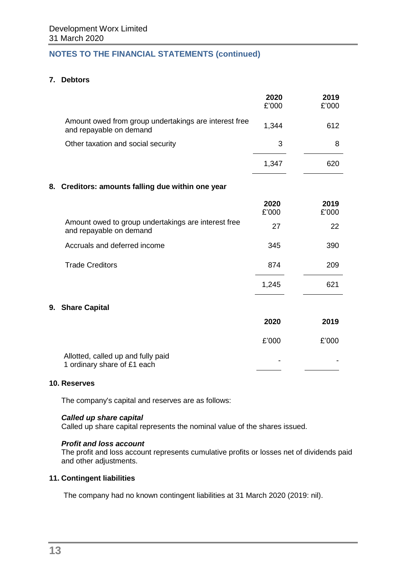## **7. Debtors**

|                                                                                  | 2020<br>£'000 | 2019<br>£'000 |
|----------------------------------------------------------------------------------|---------------|---------------|
| Amount owed from group undertakings are interest free<br>and repayable on demand | 1,344         | 612           |
| Other taxation and social security                                               | 3             | 8             |
|                                                                                  | 1,347         | 620           |
| Creditors: amounts falling due within one year<br>8.                             |               |               |
|                                                                                  | 2020<br>£'000 | 2019<br>£'000 |
| Amount owed to group undertakings are interest free<br>and repayable on demand   | 27            | 22            |
| Accruals and deferred income                                                     | 345           | 390           |
| <b>Trade Creditors</b>                                                           | 874           | 209           |
|                                                                                  | 1,245         | 621           |
| <b>Share Capital</b><br>9.                                                       |               |               |
|                                                                                  | 2020          | 2019          |
|                                                                                  | £'000         | £'000         |
| Allotted, called up and fully paid<br>1 ordinary share of £1 each                |               |               |

#### **10. Reserves**

**9. Share Capital**

The company's capital and reserves are as follows:

#### *Called up share capital*

Called up share capital represents the nominal value of the shares issued.

#### *Profit and loss account*

The profit and loss account represents cumulative profits or losses net of dividends paid and other adjustments.

## **11. Contingent liabilities**

The company had no known contingent liabilities at 31 March 2020 (2019: nil).